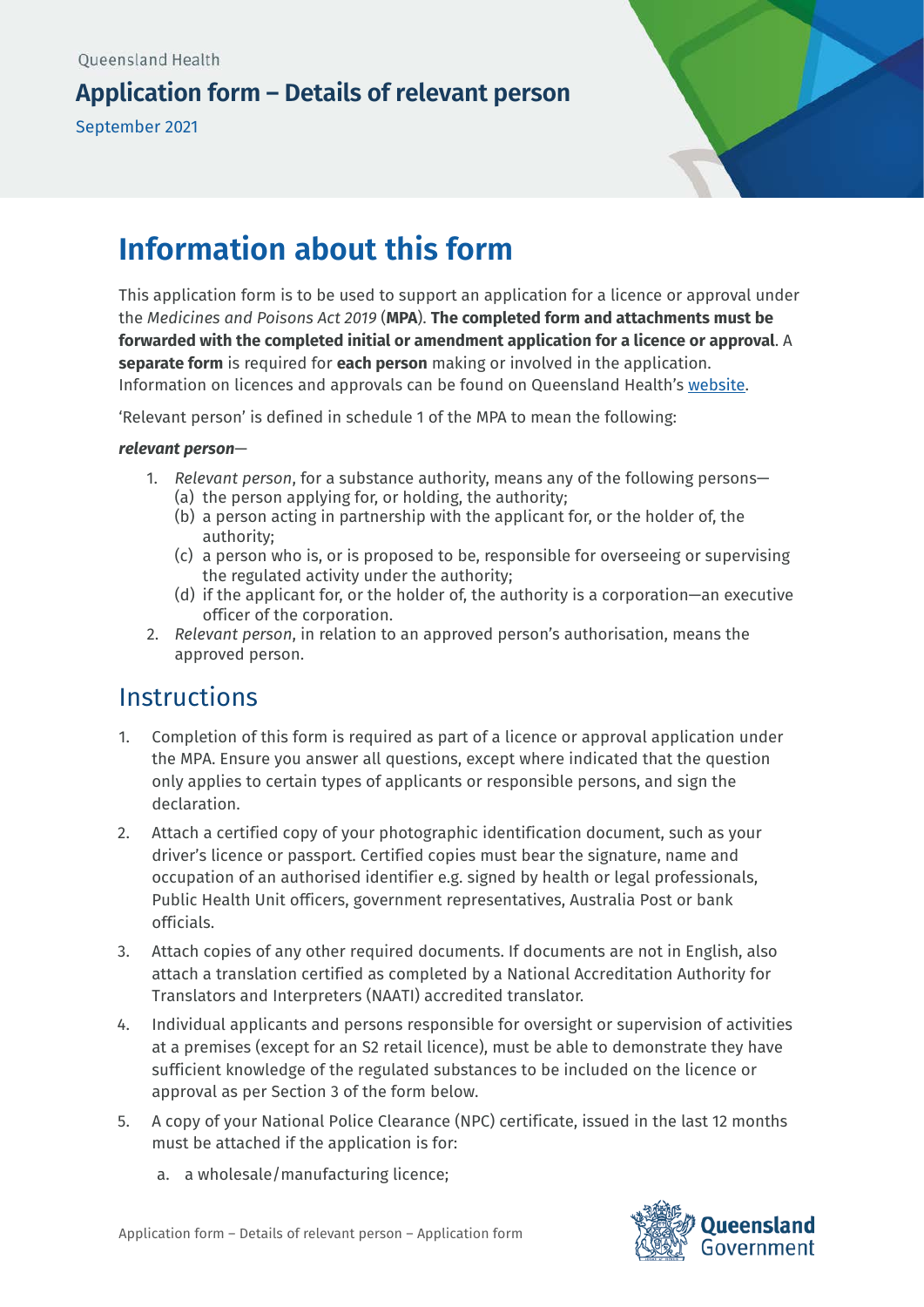## **Application form – Details of relevant person**

September 2021



# **Information about this form**

This application form is to be used to support an application for a licence or approval under the *Medicines and Poisons Act 2019* (**MPA**). **The completed form and attachments must be forwarded with the completed initial or amendment application for a licence or approval**. A **separate form** is required for **each person** making or involved in the application. Information on licences and approvals can be found on Queensland Health's [website.](https://www.health.qld.gov.au/system-governance/licences/medicines-poisons) 

'Relevant person' is defined in schedule 1 of the MPA to mean the following:

#### *relevant person*—

- 1. *Relevant person*, for a substance authority, means any of the following persons—
	- (a) the person applying for, or holding, the authority;
	- (b) a person acting in partnership with the applicant for, or the holder of, the authority;
	- (c) a person who is, or is proposed to be, responsible for overseeing or supervising the regulated activity under the authority;
	- (d) if the applicant for, or the holder of, the authority is a corporation—an executive officer of the corporation.
- 2. *Relevant person*, in relation to an approved person's authorisation, means the approved person.

# **Instructions**

- 1. Completion of this form is required as part of a licence or approval application under the MPA. Ensure you answer all questions, except where indicated that the question only applies to certain types of applicants or responsible persons, and sign the declaration.
- 2. Attach a certified copy of your photographic identification document, such as your driver's licence or passport. Certified copies must bear the signature, name and occupation of an authorised identifier e.g. signed by health or legal professionals, Public Health Unit officers, government representatives, Australia Post or bank officials.
- 3. Attach copies of any other required documents. If documents are not in English, also attach a translation certified as completed by a National Accreditation Authority for Translators and Interpreters (NAATI) accredited translator.
- 4. Individual applicants and persons responsible for oversight or supervision of activities at a premises (except for an S2 retail licence), must be able to demonstrate they have sufficient knowledge of the regulated substances to be included on the licence or approval as per Section 3 of the form below.
- 5. A copy of your National Police Clearance (NPC) certificate, issued in the last 12 months must be attached if the application is for:
	- a. a wholesale/manufacturing licence;

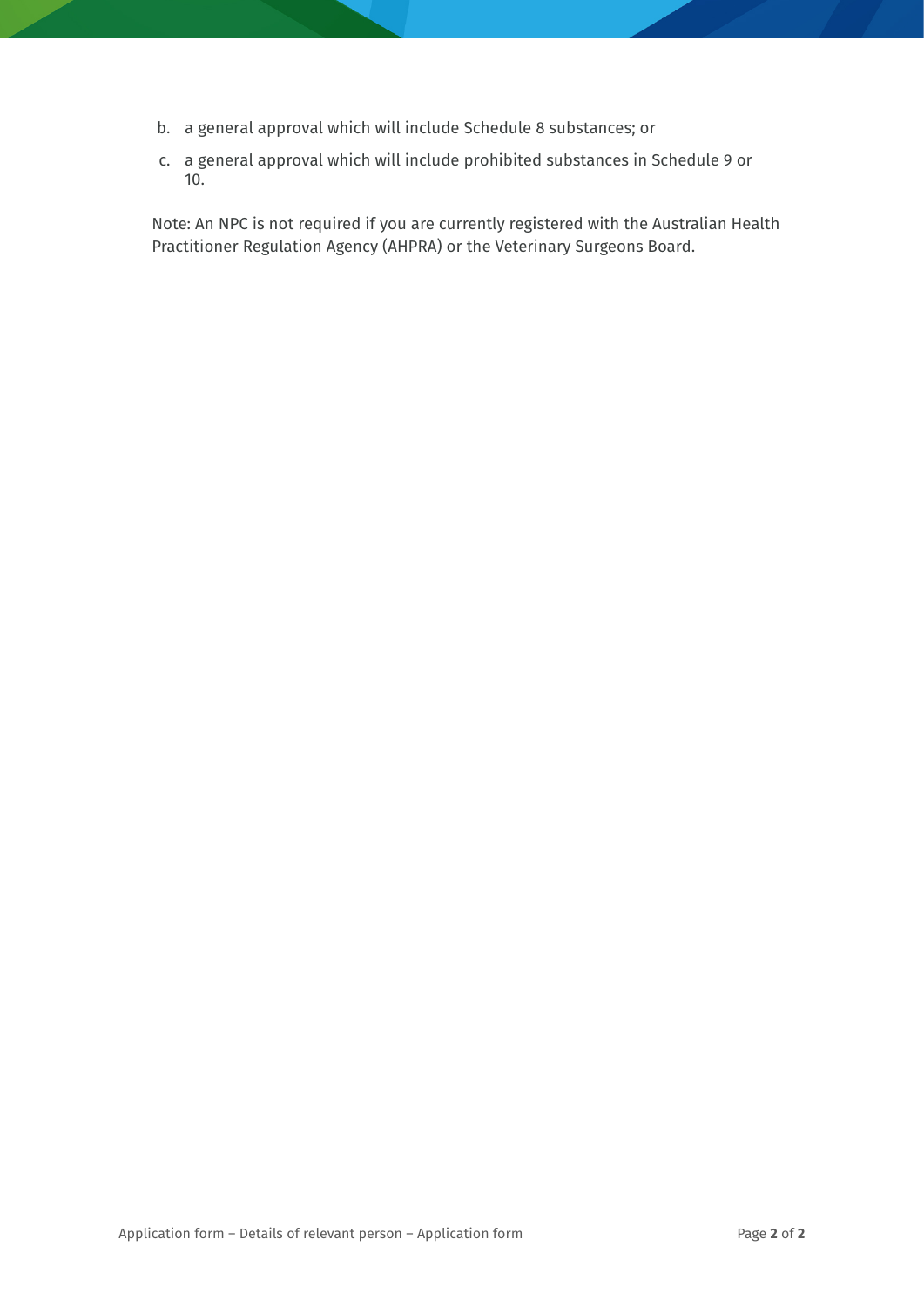- b. a general approval which will include Schedule 8 substances; or
- c. a general approval which will include prohibited substances in Schedule 9 or 10.

Note: An NPC is not required if you are currently registered with the Australian Health Practitioner Regulation Agency (AHPRA) or the Veterinary Surgeons Board.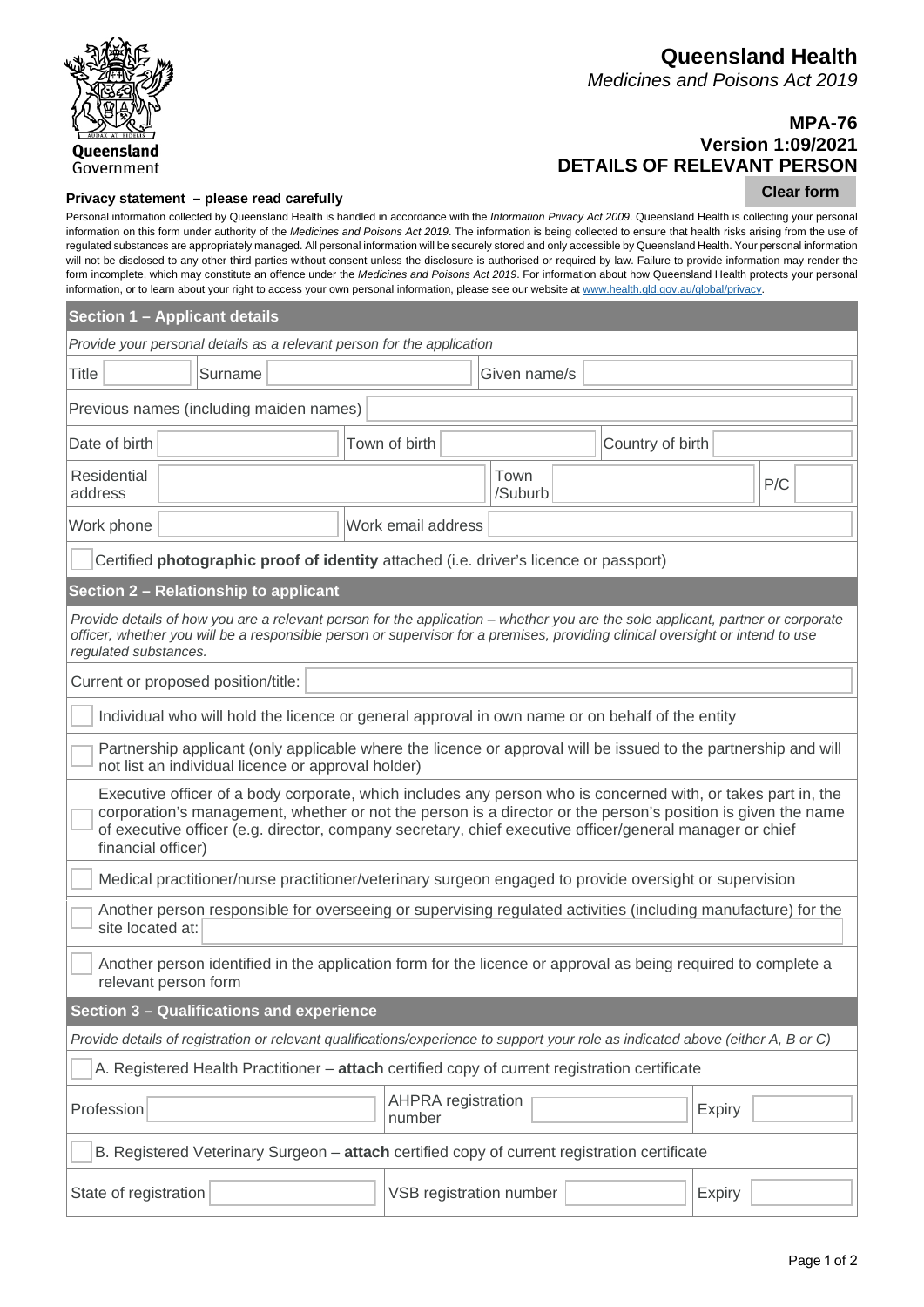

#### **Queensland Health** *Medicines and Poisons Act 2019*

**Clear form**

## **MPA-76 Version 1:09/2021 DETAILS OF RELEVANT PERSON**

#### **Privacy statement – please read carefully**

#### Personal information collected by Queensland Health is handled in accordance with the *Information Privacy Act 2009*. Queensland Health is collecting your personal information on this form under authority of the *Medicines and Poisons Act 2019*. The information is being collected to ensure that health risks arising from the use of regulated substances are appropriately managed. All personal information will be securely stored and only accessible by Queensland Health. Your personal information will not be disclosed to any other third parties without consent unless the disclosure is authorised or required by law. Failure to provide information may render the form incomplete, which may constitute an offence under the *Medicines and Poisons Act 2019*. For information about how Queensland Health protects your personal information, or to learn about your right to access your own personal information, please see our website at www.health.qld.gov.au/global/privacy.

| Section 1 - Applicant details                                                                                                                                                                                                                                                                                                                                   |                                               |  |  |  |  |  |  |
|-----------------------------------------------------------------------------------------------------------------------------------------------------------------------------------------------------------------------------------------------------------------------------------------------------------------------------------------------------------------|-----------------------------------------------|--|--|--|--|--|--|
| Provide your personal details as a relevant person for the application                                                                                                                                                                                                                                                                                          |                                               |  |  |  |  |  |  |
| <b>Title</b><br>Surname                                                                                                                                                                                                                                                                                                                                         | Given name/s                                  |  |  |  |  |  |  |
| Previous names (including maiden names)                                                                                                                                                                                                                                                                                                                         |                                               |  |  |  |  |  |  |
| Date of birth<br>Town of birth                                                                                                                                                                                                                                                                                                                                  | Country of birth                              |  |  |  |  |  |  |
| <b>Residential</b><br>address                                                                                                                                                                                                                                                                                                                                   | Town<br>P/C<br>/Suburb                        |  |  |  |  |  |  |
| Work phone                                                                                                                                                                                                                                                                                                                                                      | Work email address                            |  |  |  |  |  |  |
| Certified photographic proof of identity attached (i.e. driver's licence or passport)                                                                                                                                                                                                                                                                           |                                               |  |  |  |  |  |  |
| Section 2 - Relationship to applicant                                                                                                                                                                                                                                                                                                                           |                                               |  |  |  |  |  |  |
| Provide details of how you are a relevant person for the application – whether you are the sole applicant, partner or corporate<br>officer, whether you will be a responsible person or supervisor for a premises, providing clinical oversight or intend to use<br>regulated substances.                                                                       |                                               |  |  |  |  |  |  |
| Current or proposed position/title:                                                                                                                                                                                                                                                                                                                             |                                               |  |  |  |  |  |  |
| Individual who will hold the licence or general approval in own name or on behalf of the entity                                                                                                                                                                                                                                                                 |                                               |  |  |  |  |  |  |
| Partnership applicant (only applicable where the licence or approval will be issued to the partnership and will<br>not list an individual licence or approval holder)                                                                                                                                                                                           |                                               |  |  |  |  |  |  |
| Executive officer of a body corporate, which includes any person who is concerned with, or takes part in, the<br>corporation's management, whether or not the person is a director or the person's position is given the name<br>of executive officer (e.g. director, company secretary, chief executive officer/general manager or chief<br>financial officer) |                                               |  |  |  |  |  |  |
| Medical practitioner/nurse practitioner/veterinary surgeon engaged to provide oversight or supervision                                                                                                                                                                                                                                                          |                                               |  |  |  |  |  |  |
| Another person responsible for overseeing or supervising regulated activities (including manufacture) for the<br>site located at:                                                                                                                                                                                                                               |                                               |  |  |  |  |  |  |
| Another person identified in the application form for the licence or approval as being required to complete a<br>relevant person form                                                                                                                                                                                                                           |                                               |  |  |  |  |  |  |
| Section 3 - Qualifications and experience                                                                                                                                                                                                                                                                                                                       |                                               |  |  |  |  |  |  |
| Provide details of registration or relevant qualifications/experience to support your role as indicated above (either A, B or C)                                                                                                                                                                                                                                |                                               |  |  |  |  |  |  |
| A. Registered Health Practitioner - attach certified copy of current registration certificate                                                                                                                                                                                                                                                                   |                                               |  |  |  |  |  |  |
| Profession                                                                                                                                                                                                                                                                                                                                                      | <b>AHPRA</b> registration<br>Expiry<br>number |  |  |  |  |  |  |
| B. Registered Veterinary Surgeon - attach certified copy of current registration certificate                                                                                                                                                                                                                                                                    |                                               |  |  |  |  |  |  |
| State of registration                                                                                                                                                                                                                                                                                                                                           | VSB registration number<br><b>Expiry</b>      |  |  |  |  |  |  |